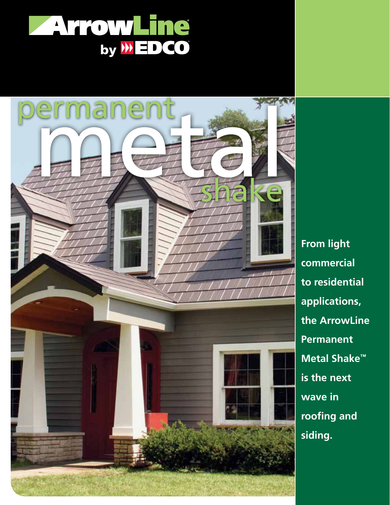



**From light commercial to residential applications, the ArrowLine Permanent Metal Shake™ is the next wave in roofing and siding.**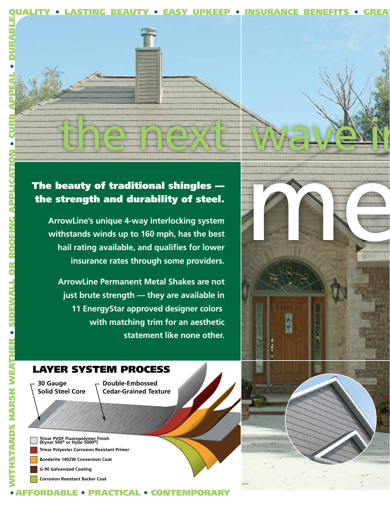



### The beauty of traditional shingles the strength and durability of steel.

**ArrowLine's unique 4-way interlocking system withstands winds up to 160 mph, has the best hail rating available, and qualifies for lower insurance rates through some providers.**

**ArrowLine Permanent Metal Shakes are not just brute strength — they are available in 11 EnergyStar approved designer colors with matching trim for an aesthetic statement like none other.**

#### LAYER SYSTEM PROCESS

**30 Gauge Solid Steel Core**

• WITHSTANDS HARSH WEATHER

**STANDS HARSH** 

Ţ

• SIDEWALL OR ROOFING APPLICATION

• CURB APPEAL

• DURABLE

**Double-Embossed Cedar-Grained Texture**

AFFORDABLE • PRACTICAL • CONTEMPORARY

**Bonderite 1402W Conversion Coat Trinar Polyester Corrosion Resistant Primer Trinar PVDF Fluoropolymer Finish (Kynar 500® or Hylar 5000®)**

**G-90 Galvanized Coating**

**Corrosion Resistant Backer Coat**

metal

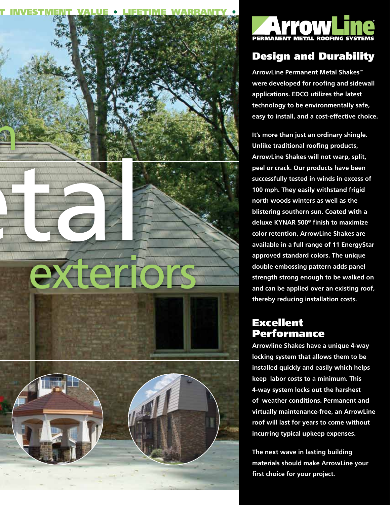



## Design and Durability

**ArrowLine Permanent Metal Shakes™ were developed for roofing and sidewall applications. EDCO utilizes the latest technology to be environmentally safe, easy to install, and a cost-effective choice.**

**It's more than just an ordinary shingle. Unlike traditional roofing products, ArrowLine Shakes will not warp, split, peel or crack. Our products have been successfully tested in winds in excess of 100 mph. They easily withstand frigid north woods winters as well as the blistering southern sun. Coated with a deluxe KYNAR 500® finish to maximize color retention, ArrowLine Shakes are available in a full range of 11 EnergyStar approved standard colors. The unique double embossing pattern adds panel strength strong enough to be walked on and can be applied over an existing roof, thereby reducing installation costs.** 

#### Excellent Performance

**Arrowline Shakes have a unique 4-way locking system that allows them to be installed quickly and easily which helps keep labor costs to a minimum. This 4-way system locks out the harshest of weather conditions. Permanent and virtually maintenance-free, an ArrowLine roof will last for years to come without incurring typical upkeep expenses.**

**The next wave in lasting building materials should make ArrowLine your first choice for your project.**